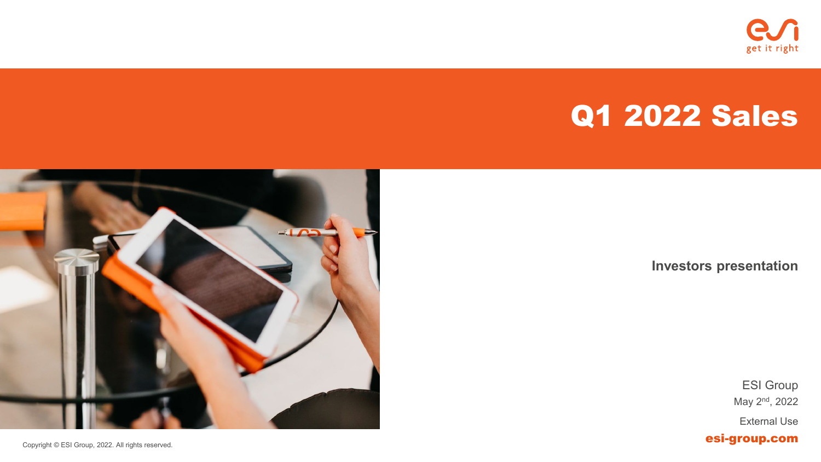

# Q1 2022 Sales



**Investors presentation**

May 2nd, 2022 External Use ESI Group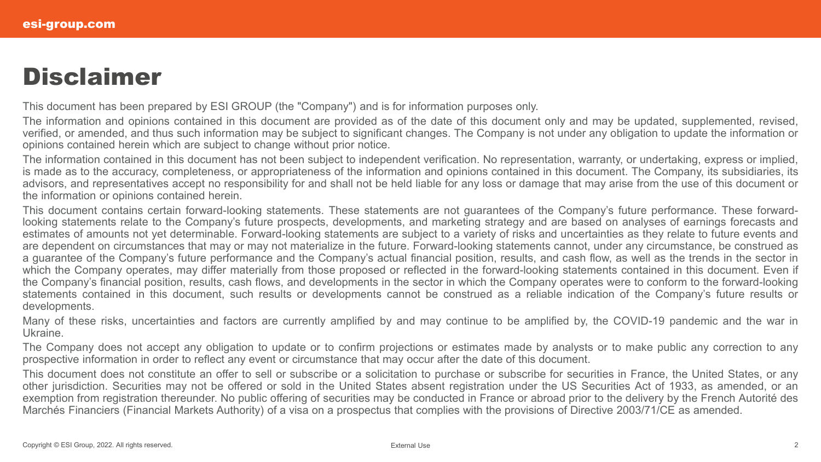## **Disclaimer**

This document has been prepared by ESI GROUP (the "Company") and is for information purposes only.

The information and opinions contained in this document are provided as of the date of this document only and may be updated, supplemented, revised, verified, or amended, and thus such information may be subject to significant changes. The Company is not under any obligation to update the information or opinions contained herein which are subject to change without prior notice.

The information contained in this document has not been subject to independent verification. No representation, warranty, or undertaking, express or implied, is made as to the accuracy, completeness, or appropriateness of the information and opinions contained in this document. The Company, its subsidiaries, its advisors, and representatives accept no responsibility for and shall not be held liable for any loss or damage that may arise from the use of this document or the information or opinions contained herein.

This document contains certain forward-looking statements. These statements are not guarantees of the Company's future performance. These forwardlooking statements relate to the Company's future prospects, developments, and marketing strategy and are based on analyses of earnings forecasts and estimates of amounts not yet determinable. Forward-looking statements are subject to a variety of risks and uncertainties as they relate to future events and are dependent on circumstances that may or may not materialize in the future. Forward-looking statements cannot, under any circumstance, be construed as a guarantee of the Company's future performance and the Company's actual financial position, results, and cash flow, as well as the trends in the sector in which the Company operates, may differ materially from those proposed or reflected in the forward-looking statements contained in this document. Even if the Company's financial position, results, cash flows, and developments in the sector in which the Company operates were to conform to the forward-looking statements contained in this document, such results or developments cannot be construed as a reliable indication of the Company's future results or developments.

Many of these risks, uncertainties and factors are currently amplified by and may continue to be amplified by, the COVID-19 pandemic and the war in Ukraine.

The Company does not accept any obligation to update or to confirm projections or estimates made by analysts or to make public any correction to any prospective information in order to reflect any event or circumstance that may occur after the date of this document.

This document does not constitute an offer to sell or subscribe or a solicitation to purchase or subscribe for securities in France, the United States, or any other jurisdiction. Securities may not be offered or sold in the United States absent registration under the US Securities Act of 1933, as amended, or an exemption from registration thereunder. No public offering of securities may be conducted in France or abroad prior to the delivery by the French Autorité des Marchés Financiers (Financial Markets Authority) of a visa on a prospectus that complies with the provisions of Directive 2003/71/CE as amended.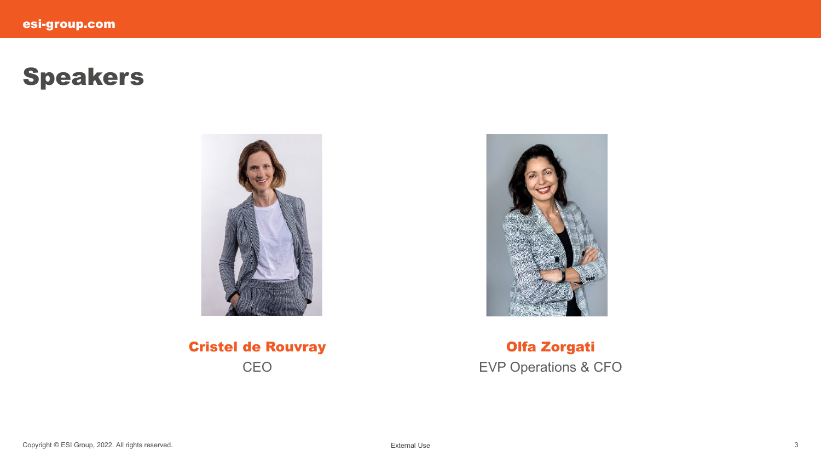## Speakers





Cristel de Rouvray CEO

Olfa Zorgati EVP Operations & CFO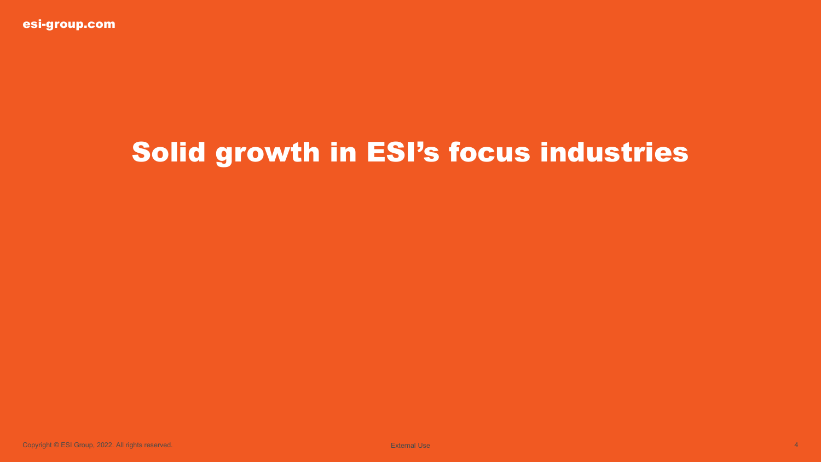# Solid growth in ESI's focus industries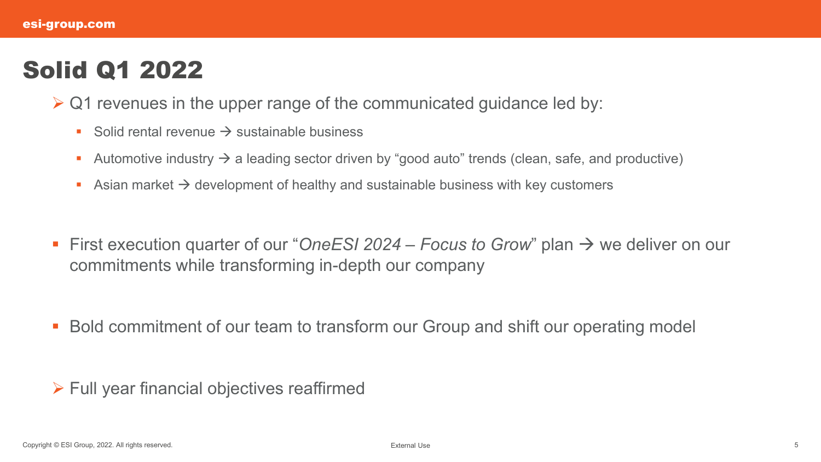## Solid Q1 2022

- $\triangleright$  Q1 revenues in the upper range of the communicated guidance led by:
	- Solid rental revenue  $\rightarrow$  sustainable business
	- Automotive industry  $\rightarrow$  a leading sector driven by "good auto" trends (clean, safe, and productive)
	- Asian market  $\rightarrow$  development of healthy and sustainable business with key customers
- First execution quarter of our "*OneESI 2024 Focus to Grow*" plan → we deliver on our commitments while transforming in-depth our company
- Bold commitment of our team to transform our Group and shift our operating model

 $\triangleright$  Full year financial objectives reaffirmed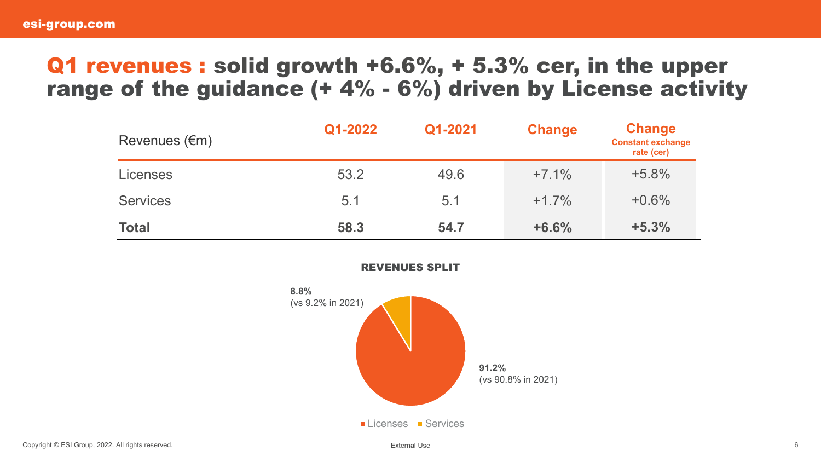#### Q1 revenues : solid growth +6.6%, + 5.3% cer, in the upper range of the guidance  $(+ 4\% - 6\%)$  driven by License activity

| Revenues $(\epsilon m)$ | Q1-2022 | Q1-2021 | <b>Change</b> | <b>Change</b><br><b>Constant exchange</b><br>rate (cer) |
|-------------------------|---------|---------|---------------|---------------------------------------------------------|
| <b>Licenses</b>         | 53.2    | 49.6    | $+7.1%$       | $+5.8%$                                                 |
| <b>Services</b>         | 5.1     | 5.1     | $+1.7%$       | $+0.6%$                                                 |
| <b>Total</b>            | 58.3    | 54.7    | $+6.6%$       | $+5.3%$                                                 |



REVENUES SPLIT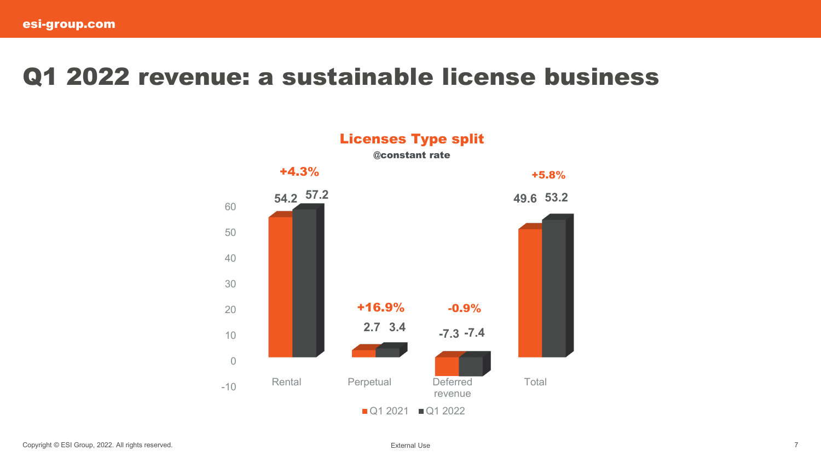#### Q1 2022 revenue: a sustainable license business

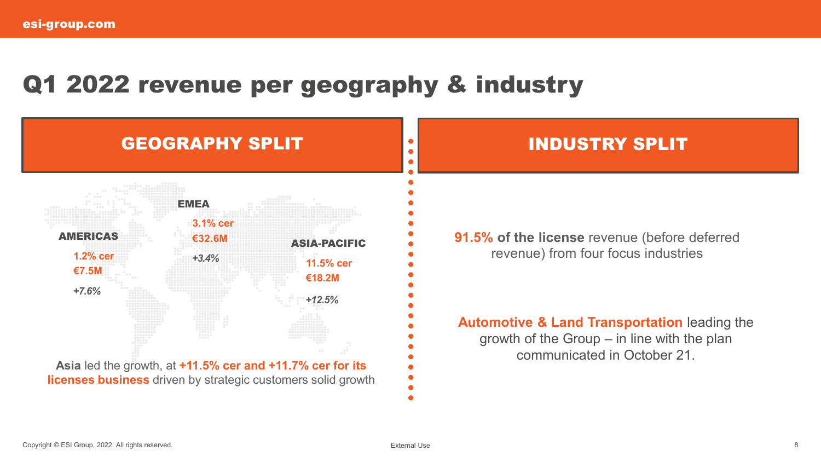## Q1 2022 revenue per geography & industry

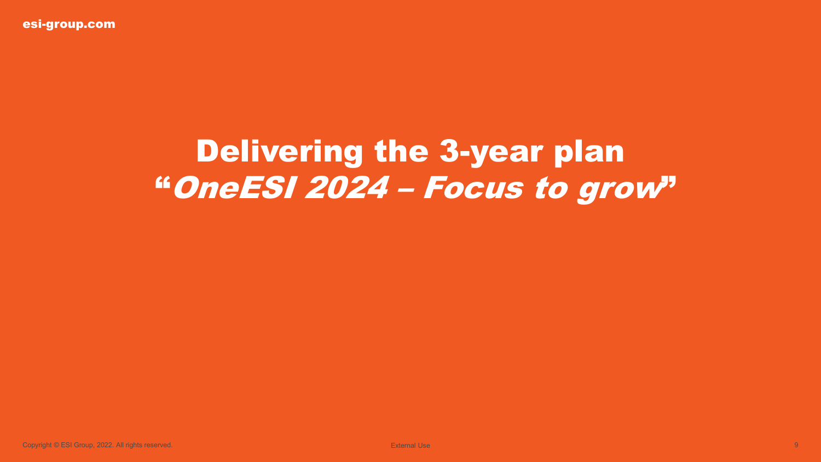esi-group.com

# Delivering the 3-year plan "OneESI 2024 – Focus to grow"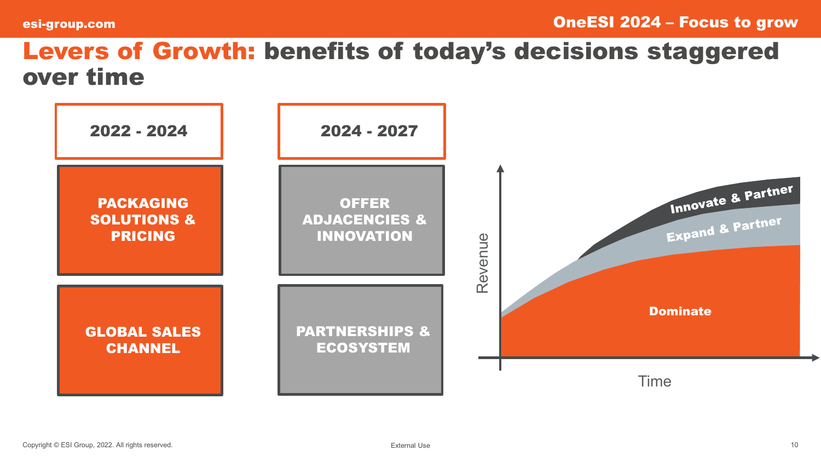## Levers of Growth: benefits of today's decisions staggered over time

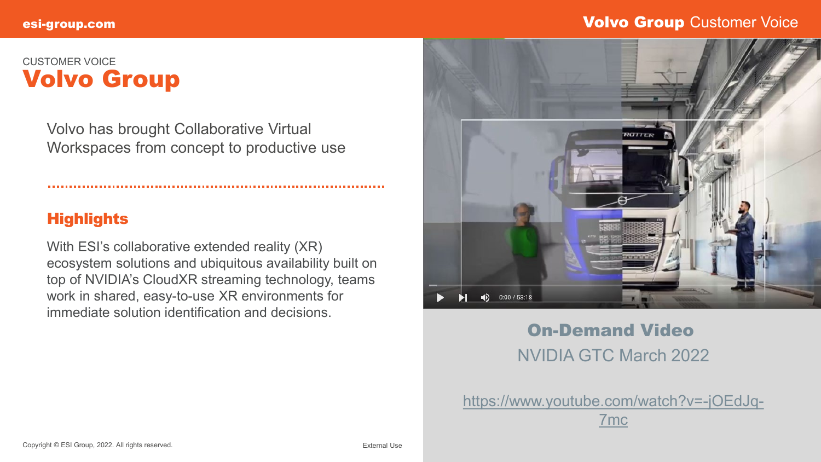#### esi-group.com and the state of the state of the state of the state of the state of the volvo Group Customer Voice

#### CUSTOMER VOICE Volvo Group

Volvo has brought Collaborative Virtual Workspaces from concept to productive use

#### **Highlights**

With ESI's collaborative extended reality (XR) ecosystem solutions and ubiquitous availability built on top of NVIDIA's CloudXR streaming technology, teams work in shared, easy-to-use XR environments for immediate solution identification and decisions.



#### On-Demand Video NVIDIA GTC March 2022

[https://www.youtube.com/watch?v=-jOEdJq-](https://www.youtube.com/watch?v=-jOEdJq-7mc)7mc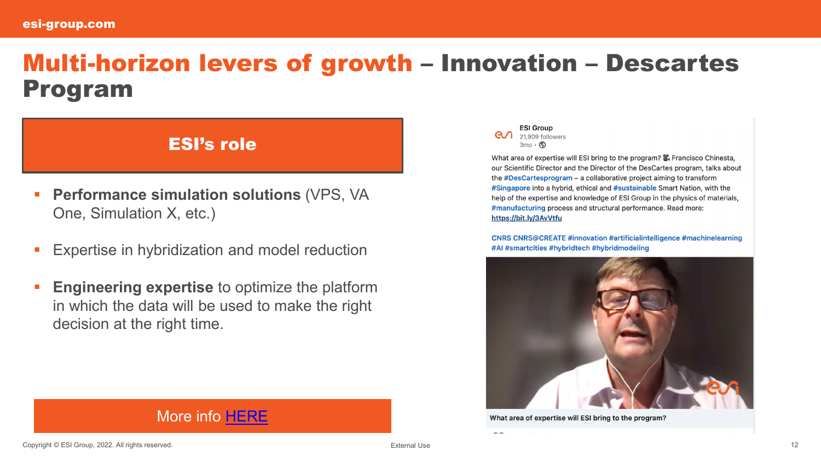## Multi-horizon levers of growth – Innovation – Descartes Program

#### ESI's role

- **Performance simulation solutions** (VPS, VA One, Simulation X, etc.)
- Expertise in hybridization and model reduction
- **Engineering expertise** to optimize the platform in which the data will be used to make the right decision at the right time.

#### **ESI Group**  $\overline{e}$  21,909 followers  $3mo \cdot \circled{S}$

What area of expertise will ESI bring to the program? Se Francisco Chinesta. our Scientific Director and the Director of the DesCartes program, talks about the #DesCartesprogram - a collaborative project aiming to transform #Singapore into a hybrid, ethical and #sustainable Smart Nation, with the help of the expertise and knowledge of ESI Group in the physics of materials, #manufacturing process and structural performance. Read more: https://bit.ly/3AvVtfu

**CNRS CNRS@CREATE #innovation #artificialintelligence #machinelearning** #AI #smartcities #hybridtech #hybridmodeling



What area of expertise will ESI bring to the program?

 $\sim$ 

#### More info [HERE](https://www.esi-group.com/news/esi-group-and-the-descartes-program-aiming-at-transforming-singapore-into-a-hybrid-ethical-and-sustainable-smart-nation)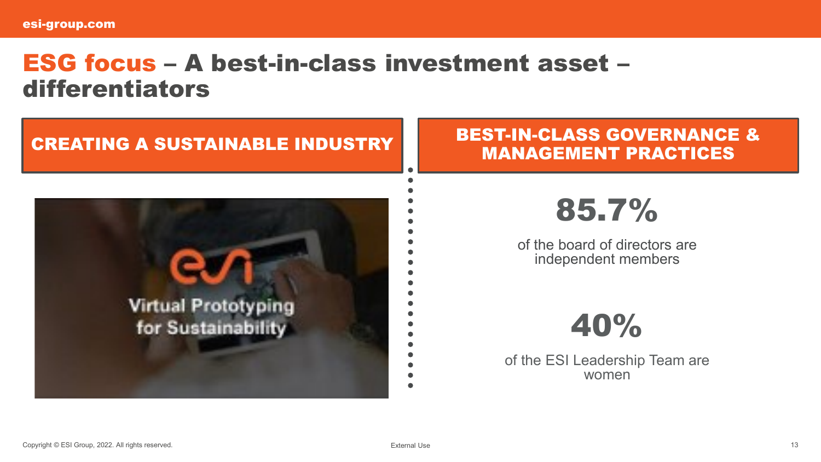## ESG focus – A best-in-class investment asset – differentiators

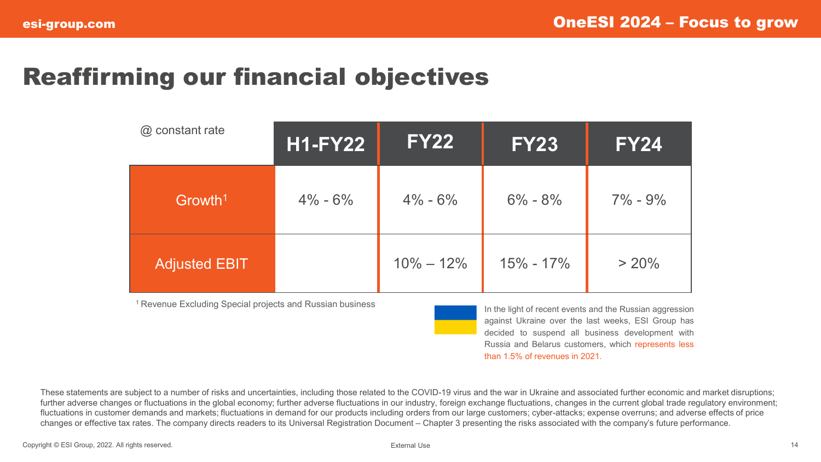## Reaffirming our financial objectives

| @ constant rate      | <b>H1-FY22</b> | <b>FY22</b>   | <b>FY23</b>   | <b>FY24</b> |
|----------------------|----------------|---------------|---------------|-------------|
| Growth <sup>1</sup>  | $4\% - 6\%$    | $4\% - 6\%$   | $6\% - 8\%$   | $7\% - 9\%$ |
| <b>Adjusted EBIT</b> |                | $10\% - 12\%$ | $15\% - 17\%$ | $> 20\%$    |

<sup>1</sup> Revenue Excluding Special projects and Russian business

In the light of recent events and the Russian aggression against Ukraine over the last weeks, ESI Group has decided to suspend all business development with Russia and Belarus customers, which represents less than 1.5% of revenues in 2021.

These statements are subject to a number of risks and uncertainties, including those related to the COVID-19 virus and the war in Ukraine and associated further economic and market disruptions; further adverse changes or fluctuations in the global economy; further adverse fluctuations in our industry, foreign exchange fluctuations, changes in the current global trade regulatory environment; fluctuations in customer demands and markets; fluctuations in demand for our products including orders from our large customers; cyber-attacks; expense overruns; and adverse effects of price changes or effective tax rates. The company directs readers to its Universal Registration Document – Chapter 3 presenting the risks associated with the company's future performance.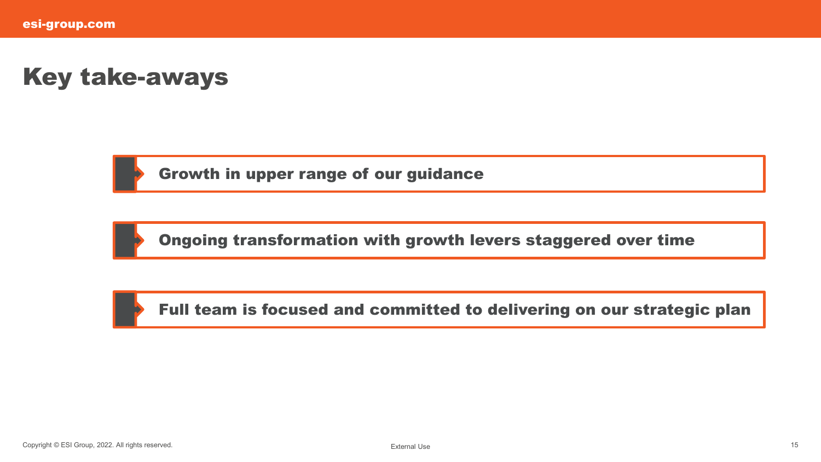## Key take-aways



Growth in upper range of our guidance



Ongoing transformation with growth levers staggered over time

Full team is focused and committed to delivering on our strategic plan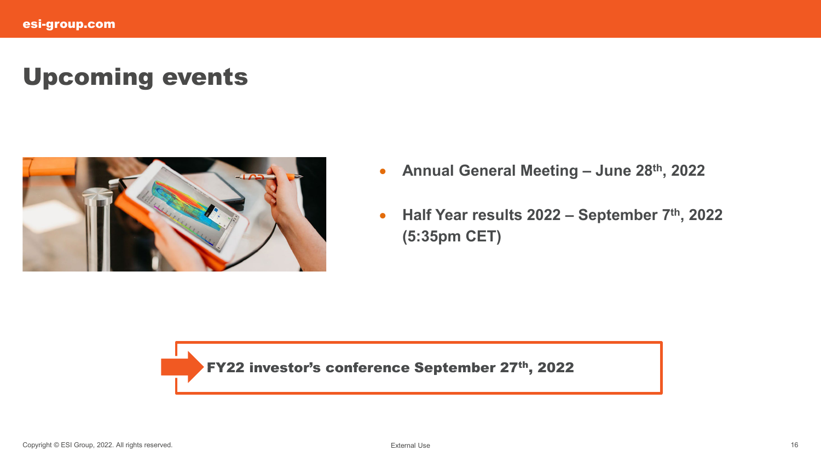## Upcoming events



- **Annual General Meeting – June 28th, 2022**
- **Half Year results 2022 – September 7th, 2022 (5:35pm CET)**

FY22 investor's conference September 27th, 2022